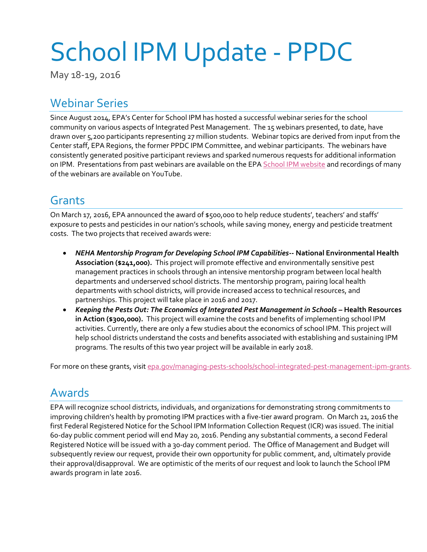# School IPM Update - PPDC

May 18-19, 2016

#### Webinar Series

Since August 2014, EPA's Center for School IPM has hosted a successful webinar series for the school community on various aspects of Integrated Pest Management. The 15 webinars presented, to date, have drawn over 5,200 participants representing 27 million students. Webinar topics are derived from input from the Center staff, EPA Regions, the former PPDC IPM Committee, and webinar participants. The webinars have consistently generated positive participant reviews and sparked numerous requests for additional information on IPM. Presentations from past webinars are available on the EP[A School IPM website](https://www.epa.gov/managing-pests-schools/webinars-about-integrated-pest-management-schools) and recordings of many of the webinars are available on YouTube.

### Grants

On March 17, 2016, EPA announced the award of \$500,000 to help reduce students', teachers' and staffs' exposure to pests and pesticides in our nation's schools, while saving money, energy and pesticide treatment costs. The two projects that received awards were:

- *NEHA Mentorship Program for Developing School IPM Capabilities***-- National Environmental Health Association (\$241,000).** This project will promote effective and environmentally sensitive pest management practices in schools through an intensive mentorship program between local health departments and underserved school districts. The mentorship program, pairing local health departments with school districts, will provide increased access to technical resources, and partnerships. This project will take place in 2016 and 2017.
- *Keeping the Pests Out: The Economics of Integrated Pest Management in Schools* **– Health Resources in Action (\$300,000).** This project will examine the costs and benefits of implementing school IPM activities. Currently, there are only a few studies about the economics of school IPM. This project will help school districts understand the costs and benefits associated with establishing and sustaining IPM programs. The results of this two year project will be available in early 2018.

For more on these grants, visi[t epa.gov/managing-pests-schools/school-integrated-pest-management-ipm-grants.](https://www.epa.gov/managing-pests-schools/school-integrated-pest-management-ipm-grants)

#### Awards

EPA will recognize school districts, individuals, and organizations for demonstrating strong commitments to improving children's health by promoting IPM practices with a five-tier award program. On March 21, 2016 the first Federal Registered Notice for the School IPM Information Collection Request (ICR) was issued. The initial 60-day public comment period will end May 20, 2016. Pending any substantial comments, a second Federal Registered Notice will be issued with a 30-day comment period. The Office of Management and Budget will subsequently review our request, provide their own opportunity for public comment, and, ultimately provide their approval/disapproval. We are optimistic of the merits of our request and look to launch the School IPM awards program in late 2016.